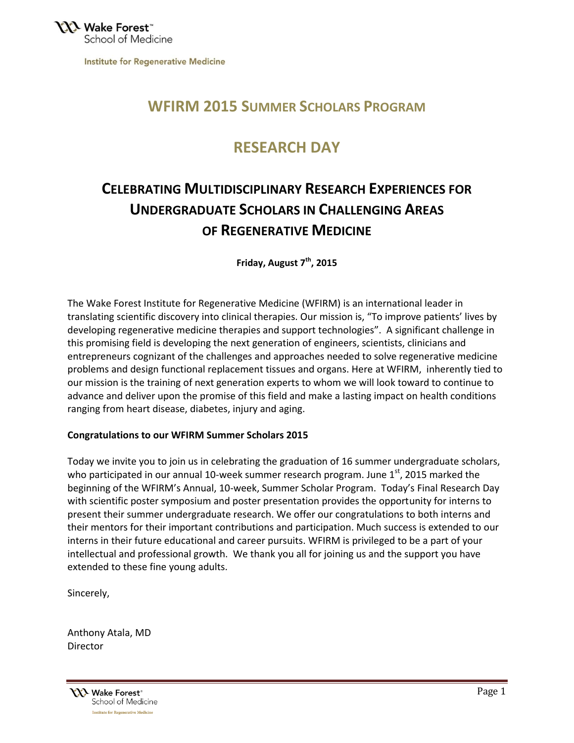**Institute for Regenerative Medicine** 

## **WFIRM 2015 SUMMER SCHOLARS PROGRAM**

## **RESEARCH DAY**

# **CELEBRATING MULTIDISCIPLINARY RESEARCH EXPERIENCES FOR UNDERGRADUATE SCHOLARS IN CHALLENGING AREAS OF REGENERATIVE MEDICINE**

**Friday, August 7th, 2015**

The Wake Forest Institute for Regenerative Medicine (WFIRM) is an international leader in translating scientific discovery into clinical therapies. Our mission is, "To improve patients' lives by developing regenerative medicine therapies and support technologies". A significant challenge in this promising field is developing the next generation of engineers, scientists, clinicians and entrepreneurs cognizant of the challenges and approaches needed to solve regenerative medicine problems and design functional replacement tissues and organs. Here at WFIRM, inherently tied to our mission is the training of next generation experts to whom we will look toward to continue to advance and deliver upon the promise of this field and make a lasting impact on health conditions ranging from heart disease, diabetes, injury and aging.

### **Congratulations to our WFIRM Summer Scholars 2015**

Today we invite you to join us in celebrating the graduation of 16 summer undergraduate scholars, who participated in our annual 10-week summer research program. June  $1<sup>st</sup>$ , 2015 marked the beginning of the WFIRM's Annual, 10-week, Summer Scholar Program. Today's Final Research Day with scientific poster symposium and poster presentation provides the opportunity for interns to present their summer undergraduate research. We offer our congratulations to both interns and their mentors for their important contributions and participation. Much success is extended to our interns in their future educational and career pursuits. WFIRM is privileged to be a part of your intellectual and professional growth. We thank you all for joining us and the support you have extended to these fine young adults.

Sincerely,

Anthony Atala, MD **Director** 

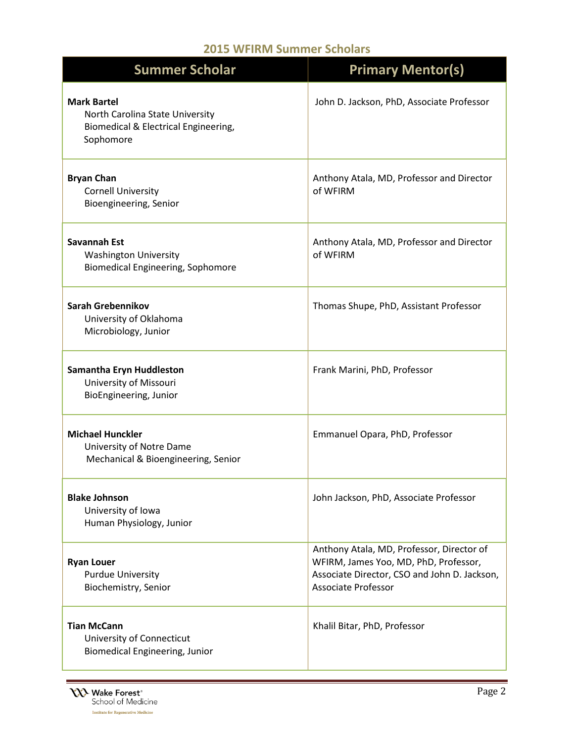## **2015 WFIRM Summer Scholars**

| <b>Summer Scholar</b>                                                                                      | <b>Primary Mentor(s)</b>                                                                                                                                         |
|------------------------------------------------------------------------------------------------------------|------------------------------------------------------------------------------------------------------------------------------------------------------------------|
| <b>Mark Bartel</b><br>North Carolina State University<br>Biomedical & Electrical Engineering,<br>Sophomore | John D. Jackson, PhD, Associate Professor                                                                                                                        |
| <b>Bryan Chan</b><br><b>Cornell University</b><br>Bioengineering, Senior                                   | Anthony Atala, MD, Professor and Director<br>of WFIRM                                                                                                            |
| Savannah Est<br><b>Washington University</b><br><b>Biomedical Engineering, Sophomore</b>                   | Anthony Atala, MD, Professor and Director<br>of WFIRM                                                                                                            |
| <b>Sarah Grebennikov</b><br>University of Oklahoma<br>Microbiology, Junior                                 | Thomas Shupe, PhD, Assistant Professor                                                                                                                           |
| Samantha Eryn Huddleston<br>University of Missouri<br>BioEngineering, Junior                               | Frank Marini, PhD, Professor                                                                                                                                     |
| <b>Michael Hunckler</b><br>University of Notre Dame<br>Mechanical & Bioengineering, Senior                 | Emmanuel Opara, PhD, Professor                                                                                                                                   |
| <b>Blake Johnson</b><br>University of Iowa<br>Human Physiology, Junior                                     | John Jackson, PhD, Associate Professor                                                                                                                           |
| <b>Ryan Louer</b><br><b>Purdue University</b><br>Biochemistry, Senior                                      | Anthony Atala, MD, Professor, Director of<br>WFIRM, James Yoo, MD, PhD, Professor,<br>Associate Director, CSO and John D. Jackson,<br><b>Associate Professor</b> |
| <b>Tian McCann</b><br>University of Connecticut<br><b>Biomedical Engineering, Junior</b>                   | Khalil Bitar, PhD, Professor                                                                                                                                     |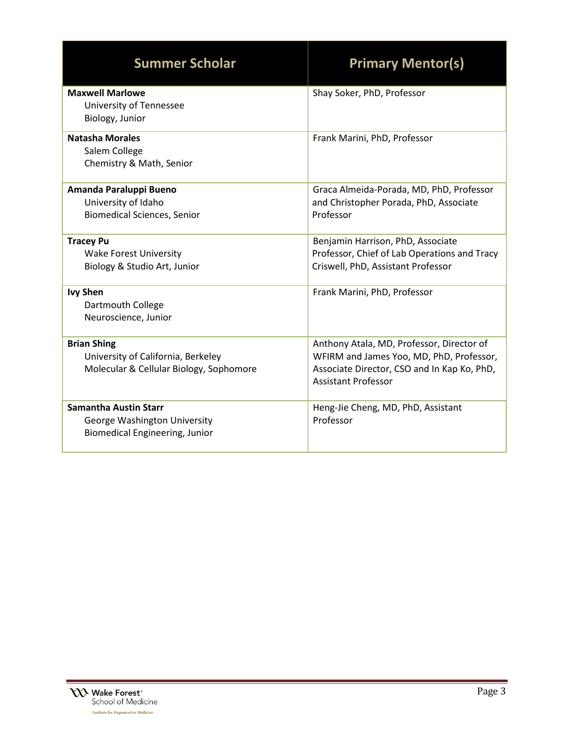| <b>Summer Scholar</b>                                                                               | <b>Primary Mentor(s)</b>                                                                                                                                           |
|-----------------------------------------------------------------------------------------------------|--------------------------------------------------------------------------------------------------------------------------------------------------------------------|
| <b>Maxwell Marlowe</b><br>University of Tennessee<br>Biology, Junior                                | Shay Soker, PhD, Professor                                                                                                                                         |
| <b>Natasha Morales</b><br>Salem College<br>Chemistry & Math, Senior                                 | Frank Marini, PhD, Professor                                                                                                                                       |
| Amanda Paraluppi Bueno<br>University of Idaho<br><b>Biomedical Sciences, Senior</b>                 | Graca Almeida-Porada, MD, PhD, Professor<br>and Christopher Porada, PhD, Associate<br>Professor                                                                    |
| <b>Tracey Pu</b><br><b>Wake Forest University</b><br>Biology & Studio Art, Junior                   | Benjamin Harrison, PhD, Associate<br>Professor, Chief of Lab Operations and Tracy<br>Criswell, PhD, Assistant Professor                                            |
| <b>Ivy Shen</b><br>Dartmouth College<br>Neuroscience, Junior                                        | Frank Marini, PhD, Professor                                                                                                                                       |
| <b>Brian Shing</b><br>University of California, Berkeley<br>Molecular & Cellular Biology, Sophomore | Anthony Atala, MD, Professor, Director of<br>WFIRM and James Yoo, MD, PhD, Professor,<br>Associate Director, CSO and In Kap Ko, PhD,<br><b>Assistant Professor</b> |
| <b>Samantha Austin Starr</b><br>George Washington University<br>Biomedical Engineering, Junior      | Heng-Jie Cheng, MD, PhD, Assistant<br>Professor                                                                                                                    |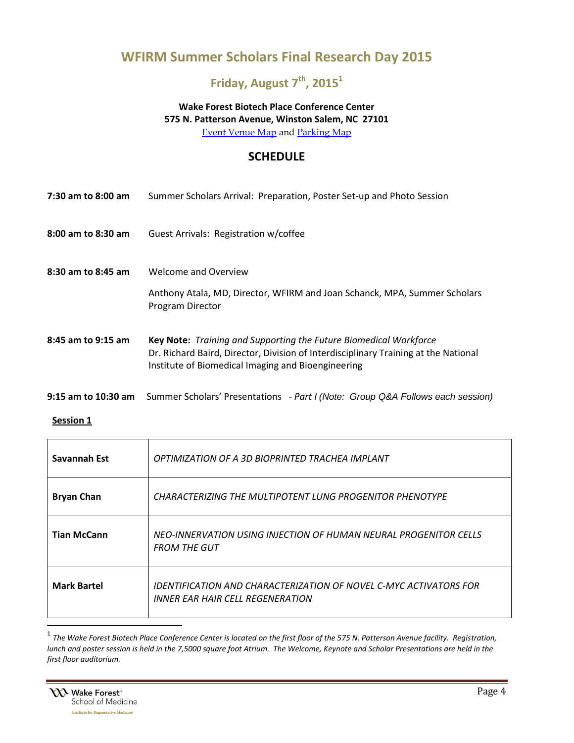## **WFIRM Summer Scholars Final Research Day 2015**

## **Friday, August 7th, 2015<sup>1</sup>**

## **Wake Forest Biotech Place Conference Center 575 N. Patterson Avenue, Winston Salem, NC 27101**

[Event Venue Map](http://www.wakehealth.edu/uploadedFiles/User_Content/Research/Institutes_and_Centers/WF_Institute_for_Regenerative_Medicine/Education_Programs/Regenerative_Medicine_Essentials/Directions%20to%20WF%20Biotech%20Place.pdf) and [Parking Map](http://www.wakehealth.edu/uploadedFiles/User_Content/Research/Institutes_and_Centers/WF_Institute_for_Regenerative_Medicine/Education_Programs/Regenerative_Medicine_Essentials/WFIQ%20North%20Parking%20-%20P1%20Highlighted.pdf)

### **SCHEDULE**

| 7:30 am to 8:00 am  | Summer Scholars Arrival: Preparation, Poster Set-up and Photo Session                                                                                                                                          |
|---------------------|----------------------------------------------------------------------------------------------------------------------------------------------------------------------------------------------------------------|
| 8:00 am to 8:30 am  | Guest Arrivals: Registration w/coffee                                                                                                                                                                          |
| 8:30 am to 8:45 am  | <b>Welcome and Overview</b>                                                                                                                                                                                    |
|                     | Anthony Atala, MD, Director, WFIRM and Joan Schanck, MPA, Summer Scholars<br>Program Director                                                                                                                  |
| 8:45 am to 9:15 am  | Key Note: Training and Supporting the Future Biomedical Workforce<br>Dr. Richard Baird, Director, Division of Interdisciplinary Training at the National<br>Institute of Biomedical Imaging and Bioengineering |
| 9:15 am to 10:30 am | Summer Scholars' Presentations - Part I (Note: Group Q&A Follows each session)                                                                                                                                 |

#### **Session 1**

| Savannah Est       | OPTIMIZATION OF A 3D BIOPRINTED TRACHEA IMPLANT                                                       |
|--------------------|-------------------------------------------------------------------------------------------------------|
| <b>Bryan Chan</b>  | <b>CHARACTERIZING THE MULTIPOTENT LUNG PROGENITOR PHENOTYPE</b>                                       |
| <b>Tian McCann</b> | NEO-INNERVATION USING INJECTION OF HUMAN NEURAL PROGENITOR CELLS<br><b>FROM THE GUT</b>               |
| <b>Mark Bartel</b> | IDENTIFICATION AND CHARACTERIZATION OF NOVEL C-MYC ACTIVATORS FOR<br>INNER EAR HAIR CELL REGENERATION |

 1 *The Wake Forest Biotech Place Conference Center is located on the first floor of the 575 N. Patterson Avenue facility. Registration, lunch and poster session is held in the 7,5000 square foot Atrium. The Welcome, Keynote and Scholar Presentations are held in the first floor auditorium.*

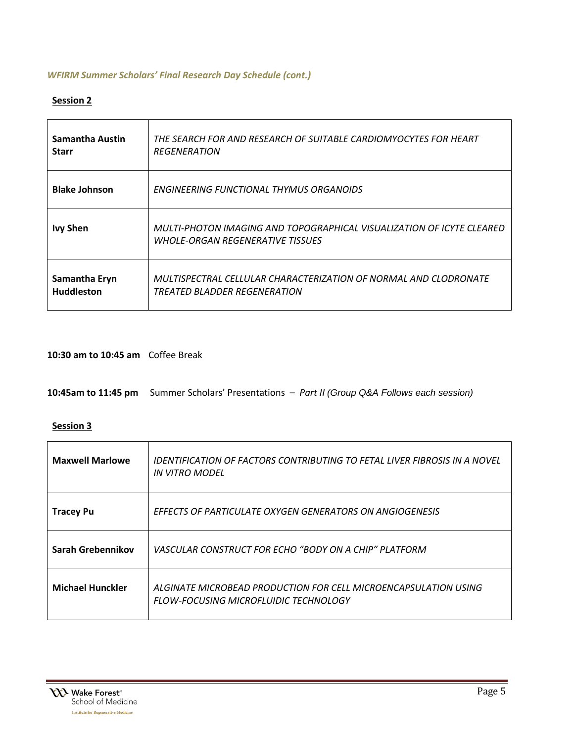### *WFIRM Summer Scholars' Final Research Day Schedule (cont.)*

### **Session 2**

| Samantha Austin      | THE SEARCH FOR AND RESEARCH OF SUITABLE CARDIOMYOCYTES FOR HEART                                                 |
|----------------------|------------------------------------------------------------------------------------------------------------------|
| <b>Starr</b>         | <b>REGENERATION</b>                                                                                              |
| <b>Blake Johnson</b> | ENGINEERING FUNCTIONAL THYMUS ORGANOIDS                                                                          |
| <b>Ivy Shen</b>      | MULTI-PHOTON IMAGING AND TOPOGRAPHICAL VISUALIZATION OF ICYTE CLEARED<br><b>WHOLE-ORGAN REGENERATIVE TISSUES</b> |
| Samantha Eryn        | MULTISPECTRAL CELLULAR CHARACTERIZATION OF NORMAL AND CLODRONATE                                                 |
| <b>Huddleston</b>    | TREATED BLADDER REGENERATION                                                                                     |

### **10:30 am to 10:45 am** Coffee Break

**10:45am to 11:45 pm** Summer Scholars' Presentations – *Part II (Group Q&A Follows each session)*

#### **Session 3**

| <b>Maxwell Marlowe</b>  | IDENTIFICATION OF FACTORS CONTRIBUTING TO FETAL LIVER FIBROSIS IN A NOVEL<br>IN VITRO MODEL                     |
|-------------------------|-----------------------------------------------------------------------------------------------------------------|
| <b>Tracey Pu</b>        | <b>EFFECTS OF PARTICULATE OXYGEN GENERATORS ON ANGIOGENESIS</b>                                                 |
| Sarah Grebennikov       | VASCULAR CONSTRUCT FOR FCHO "BODY ON A CHIP" PLATFORM                                                           |
| <b>Michael Hunckler</b> | ALGINATE MICROBEAD PRODUCTION FOR CELL MICROENCAPSULATION USING<br><b>FLOW-FOCUSING MICROFLUIDIC TECHNOLOGY</b> |

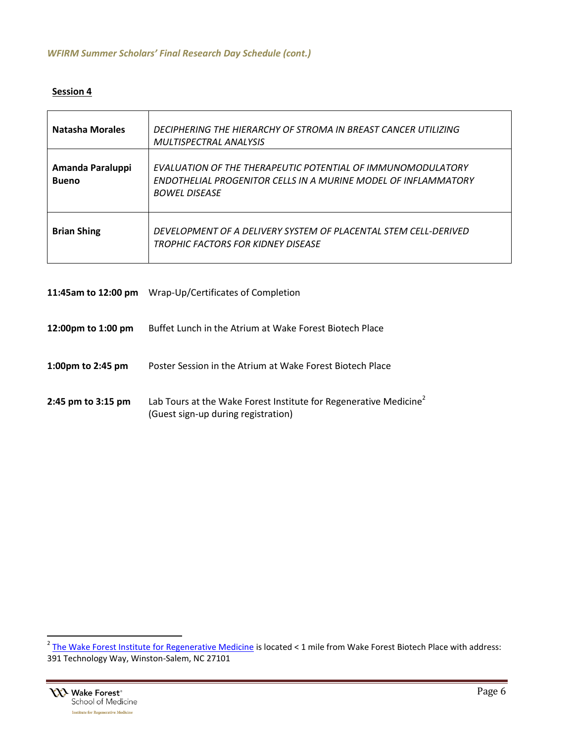### **Session 4**

| <b>Natasha Morales</b>           | DECIPHERING THE HIERARCHY OF STROMA IN BREAST CANCER UTILIZING<br>MULTISPECTRAL ANALYSIS                                                              |
|----------------------------------|-------------------------------------------------------------------------------------------------------------------------------------------------------|
| Amanda Paraluppi<br><b>Bueno</b> | EVALUATION OF THE THERAPEUTIC POTENTIAL OF IMMUNOMODULATORY<br>ENDOTHELIAL PROGENITOR CELLS IN A MURINE MODEL OF INFLAMMATORY<br><b>BOWEL DISEASE</b> |
| <b>Brian Shing</b>               | DEVELOPMENT OF A DELIVERY SYSTEM OF PLACENTAL STEM CELL-DERIVED<br>TROPHIC FACTORS FOR KIDNFY DISFASF                                                 |

| 11:45am to 12:00 pm | Wrap-Up/Certificates of Completion                                                                                   |
|---------------------|----------------------------------------------------------------------------------------------------------------------|
| 12:00pm to 1:00 pm  | Buffet Lunch in the Atrium at Wake Forest Biotech Place                                                              |
| 1:00pm to 2:45 pm   | Poster Session in the Atrium at Wake Forest Biotech Place                                                            |
| 2:45 pm to 3:15 pm  | Lab Tours at the Wake Forest Institute for Regenerative Medicine <sup>2</sup><br>(Guest sign-up during registration) |

 2 [The Wake Forest Institute for Regenerative Medicine](https://www.google.com/maps/dir/) is located < 1 mile from Wake Forest Biotech Place with address: 391 Technology Way, Winston-Salem, NC 27101